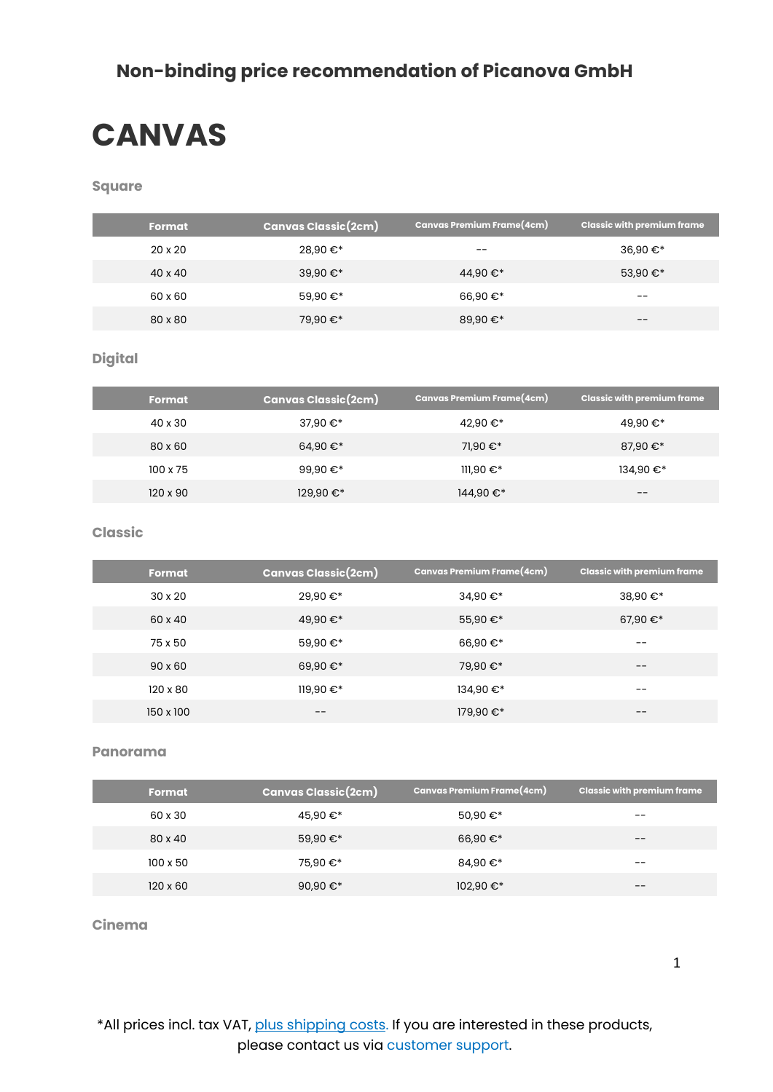# **CANVAS**

#### **Square**

| Format         | Canvas Classic(2cm) | <b>Canvas Premium Frame (4cm)</b> | <b>Classic with premium frame</b> |
|----------------|---------------------|-----------------------------------|-----------------------------------|
| $20 \times 20$ | 28,90€*             | $- -$                             | 36,90 €*                          |
| 40 x 40        | 39,90€*             | 44,90€*                           | 53,90€*                           |
| 60 x 60        | 59,90€*             | 66,90 €*                          | $- -$                             |
| 80 x 80        | 79,90 €*            | 89,90€*                           | $- -$                             |

## **Digital**

| Format          | <b>Canvas Classic(2cm)</b> | <b>Canvas Premium Frame (4cm)</b> | <b>Classic with premium frame</b> |
|-----------------|----------------------------|-----------------------------------|-----------------------------------|
| 40 x 30         | 37,90 €*                   | 42,90 €*                          | 49,90 €*                          |
| 80 x 60         | 64.90 €*                   | 71,90€*                           | 87,90€*                           |
| $100 \times 75$ | 99,90 €*                   | 111,90 €*                         | 134,90€*                          |
| $120 \times 90$ | 129,90 €*                  | 144,90 €*                         | $- -$                             |

### **Classic**

| <b>Format</b>  | <b>Canvas Classic(2cm)</b> | <b>Canvas Premium Frame (4cm)</b> | <b>Classic with premium frame</b> |
|----------------|----------------------------|-----------------------------------|-----------------------------------|
| $30 \times 20$ | 29,90€*                    | 34,90€*                           | 38,90€*                           |
| 60 x 40        | 49,90€*                    | 55,90€*                           | 67,90€*                           |
| 75 x 50        | 59,90€*                    | 66,90€*                           | $- -$                             |
| $90 \times 60$ | 69,90€*                    | 79,90€*                           | --                                |
| 120 x 80       | 119,90 €*                  | 134,90 €*                         | $- -$                             |
| 150 x 100      | $- -$                      | 179,90€*                          | --                                |

#### **Panorama**

| Format          | Canvas Classic(2cm) | <b>Canvas Premium Frame (4cm)</b> | <b>Classic with premium frame</b> |
|-----------------|---------------------|-----------------------------------|-----------------------------------|
| 60 x 30         | 45,90€*             | 50,90€*                           | --                                |
| 80 x 40         | 59,90€*             | 66,90€*                           | --                                |
| $100 \times 50$ | 75,90 €*            | 84.90€*                           | --                                |
| $120 \times 60$ | 90,90€*             | 102,90 €*                         | --                                |

#### **Cinema**

1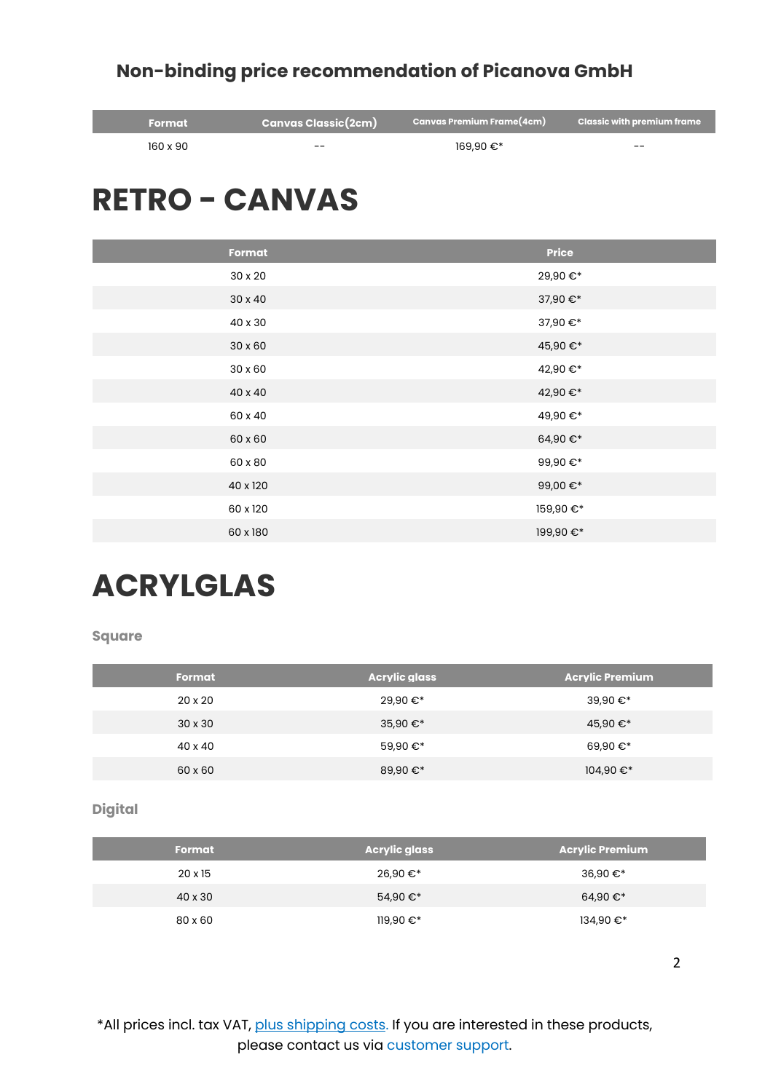| Format   | Canvas Classic(2cm) | Canvas Premium Frame(4cm) | Classic with premium frame |
|----------|---------------------|---------------------------|----------------------------|
| 160 x 90 | --                  | 169,90 €*                 | $- -$                      |

# **RETRO - CANVAS**

| Format   | <b>Price</b> |
|----------|--------------|
| 30 x 20  | 29,90€*      |
| 30 x 40  | 37,90€*      |
| 40 x 30  | 37,90€*      |
| 30 x 60  | 45,90€*      |
| 30 x 60  | 42,90€*      |
| 40 x 40  | 42,90€*      |
| 60 x 40  | 49,90€*      |
| 60 x 60  | 64,90€*      |
| 60 x 80  | 99,90€*      |
| 40 x 120 | 99,00€*      |
| 60 x 120 | 159,90€*     |
| 60 x 180 | 199,90€*     |

# **ACRYLGLAS**

**Square**

| <b>Format</b>  | <b>Acrylic glass</b> | <b>Acrylic Premium</b> |
|----------------|----------------------|------------------------|
| $20 \times 20$ | 29,90€*              | 39,90€*                |
| $30 \times 30$ | 35,90€*              | 45,90€*                |
| 40 x 40        | 59,90€*              | 69,90€*                |
| 60 x 60        | 89,90€*              | 104,90 €*              |

**Digital**

| Format         | <b>Acrylic glass</b> | <b>Acrylic Premium</b> |
|----------------|----------------------|------------------------|
| $20 \times 15$ | 26,90 €*             | 36,90 €*               |
| 40 x 30        | 54,90€*              | 64,90€*                |
| 80 x 60        | 119,90 €*            | 134,90 €*              |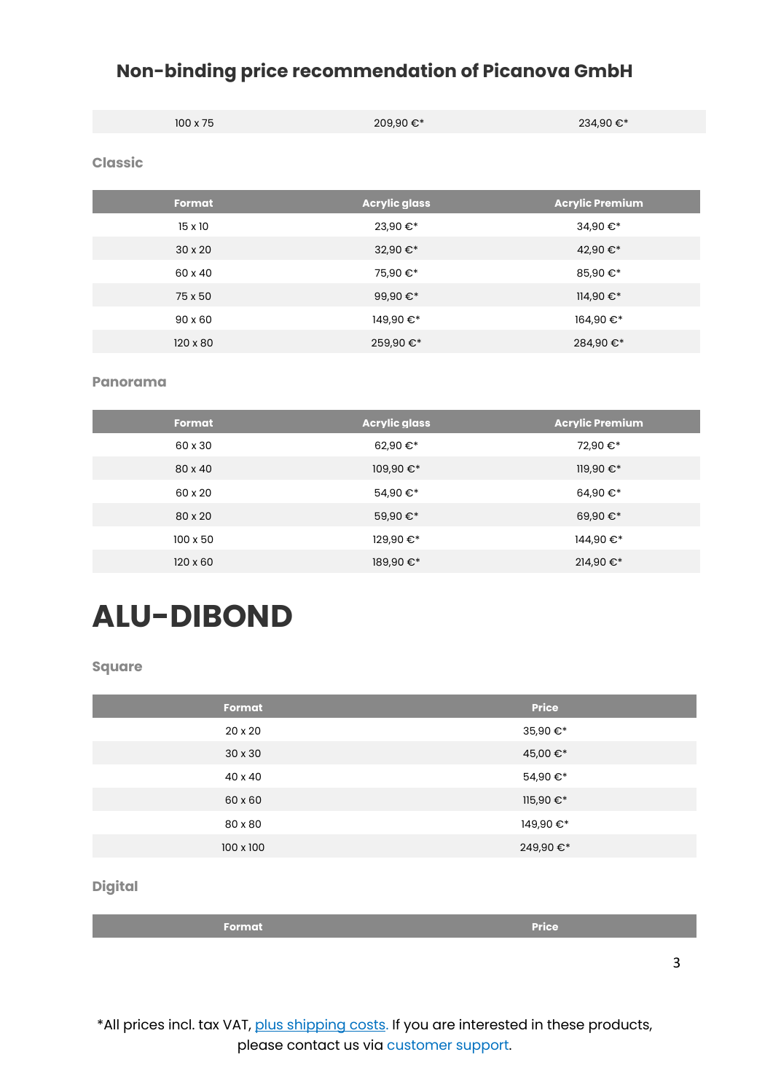| $100 \times 75$<br>the control of the control of the control of the control of the control of the control of the control of the control of the control of the control of the control of the control of the control of the control of the control | 209,90€* | 234,90 €* |
|--------------------------------------------------------------------------------------------------------------------------------------------------------------------------------------------------------------------------------------------------|----------|-----------|
|                                                                                                                                                                                                                                                  |          |           |

**Classic**

| <b>Format</b>   | <b>Acrylic glass</b> | <b>Acrylic Premium</b> |
|-----------------|----------------------|------------------------|
| $15 \times 10$  | 23,90 €*             | 34,90€*                |
| $30 \times 20$  | 32,90€*              | 42,90 €*               |
| 60 x 40         | 75,90€*              | 85,90€*                |
| 75 x 50         | 99,90€*              | 114,90 €*              |
| $90 \times 60$  | 149,90€*             | 164,90 €*              |
| $120 \times 80$ | 259,90€*             | 284,90€*               |

#### **Panorama**

| <b>Format</b>   | <b>Acrylic glass</b> | <b>Acrylic Premium</b> |
|-----------------|----------------------|------------------------|
| 60 x 30         | 62,90€*              | 72,90€*                |
| 80 x 40         | 109,90€*             | 119,90 €*              |
| 60 x 20         | 54,90€*              | 64,90€*                |
| 80 x 20         | 59,90€*              | 69,90€*                |
| $100 \times 50$ | 129,90 €*            | 144,90 €*              |
| $120 \times 60$ | 189,90€*             | 214,90 €*              |

# **ALU-DIBOND**

**Square**

| Format         | <b>Price</b> |
|----------------|--------------|
| $20 \times 20$ | 35,90€*      |
| $30 \times 30$ | 45,00 €*     |
| 40 x 40        | 54,90€*      |
| 60 x 60        | 115,90 €*    |
| 80 x 80        | 149,90€*     |
| 100 x 100      | 249,90€*     |

### **Digital**

| Format | <b>Price</b> |
|--------|--------------|
|        |              |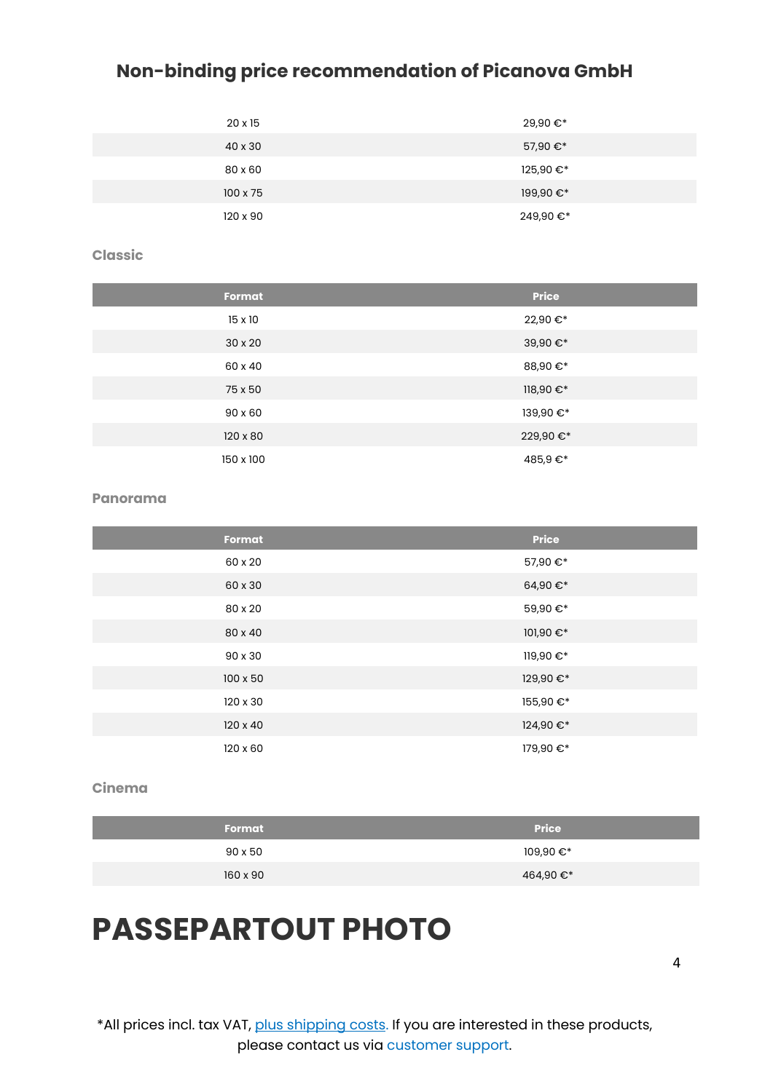| $20 \times 15$  | 29,90 €*  |
|-----------------|-----------|
| 40 x 30         | 57,90€*   |
| 80 x 60         | 125,90 €* |
| $100 \times 75$ | 199,90€*  |
| $120 \times 90$ | 249,90€*  |

#### **Classic**

| Format         | <b>Price</b> |
|----------------|--------------|
| 15 x 10        | 22,90€*      |
| 30 x 20        | 39,90€*      |
| 60 x 40        | 88,90€*      |
| 75 x 50        | 118,90€*     |
| $90 \times 60$ | 139,90€*     |
| 120 x 80       | 229,90€*     |
| 150 x 100      | 485,9€*      |

#### **Panorama**

| Format   | <b>Price</b> |
|----------|--------------|
| 60 x 20  | 57,90€*      |
| 60 x 30  | 64,90€*      |
| 80 x 20  | 59,90€*      |
| 80 x 40  | 101,90 €*    |
| 90 x 30  | 119,90€*     |
| 100 x 50 | 129,90€*     |
| 120 x 30 | 155,90€*     |
| 120 x 40 | 124,90€*     |
| 120 x 60 | 179,90€*     |

### **Cinema**

| Format         | <b>Price</b> |
|----------------|--------------|
| $90 \times 50$ | 109,90 €*    |
| 160 x 90       | 464,90 €*    |

# **PASSEPARTOUT PHOTO**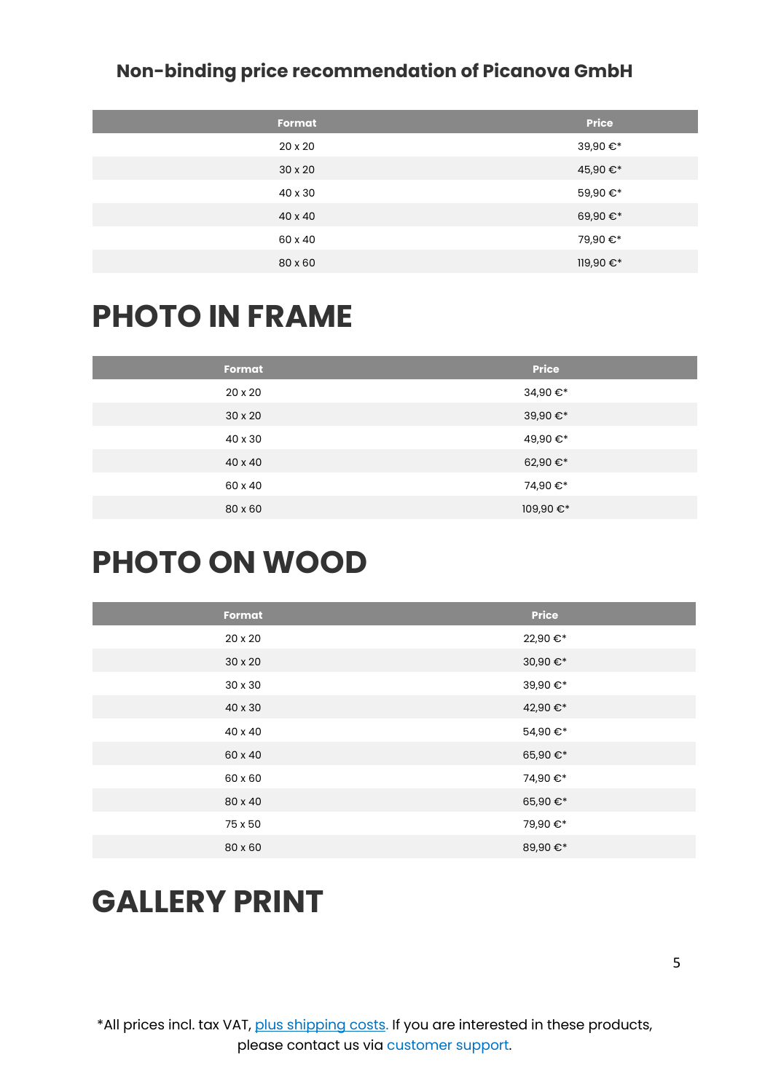| <b>Format</b>  | <b>Price</b> |
|----------------|--------------|
| $20 \times 20$ | 39,90 €*     |
| $30 \times 20$ | 45,90€*      |
| 40 x 30        | 59,90€*      |
| 40 x 40        | 69,90€*      |
| 60 x 40        | 79,90€*      |
| 80 x 60        | 119,90€*     |

# **PHOTO IN FRAME**

| <b>Format</b>  | <b>Price</b> |
|----------------|--------------|
| $20 \times 20$ | 34,90€*      |
| $30 \times 20$ | 39,90€*      |
| 40 x 30        | 49,90€*      |
| 40 x 40        | 62,90€*      |
| 60 x 40        | 74,90€*      |
| 80 x 60        | 109,90€*     |

# **PHOTO ON WOOD**

| Format  | <b>Price</b> |
|---------|--------------|
| 20 x 20 | 22,90€*      |
| 30 x 20 | 30,90€*      |
| 30 x 30 | 39,90€*      |
| 40 x 30 | 42,90€*      |
| 40 x 40 | 54,90€*      |
| 60 x 40 | 65,90€*      |
| 60 x 60 | 74,90€*      |
| 80 x 40 | 65,90€*      |
| 75 x 50 | 79,90€*      |
| 80 x 60 | 89,90€*      |

# **GALLERY PRINT**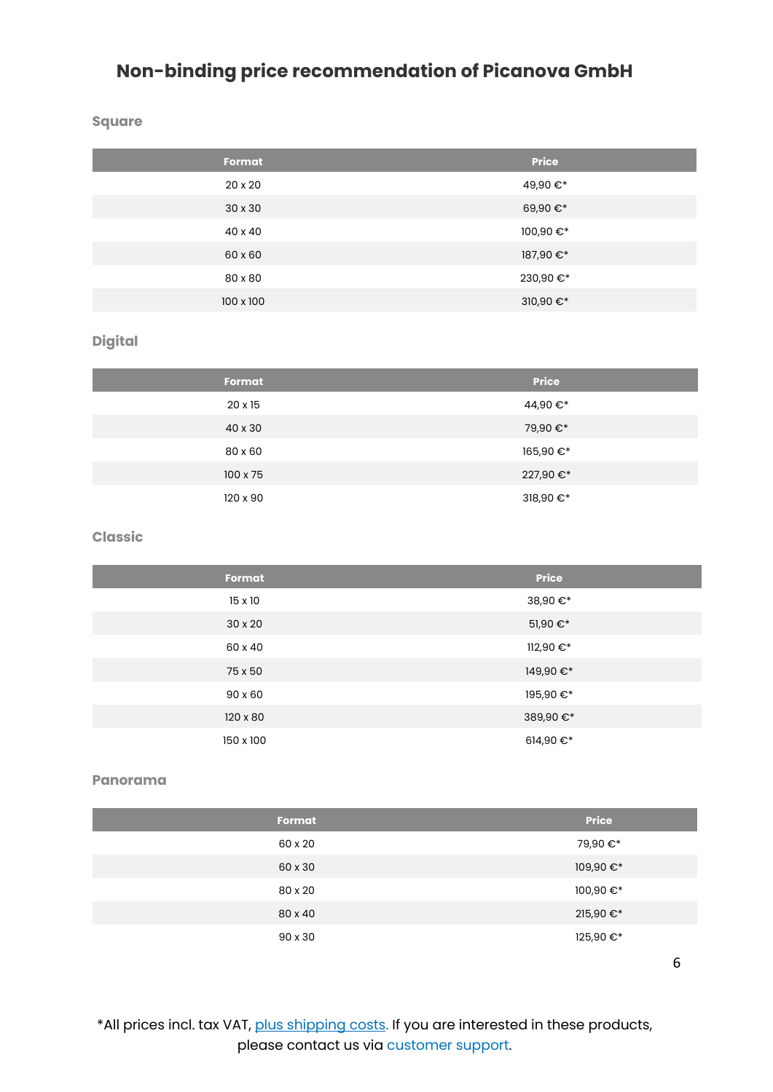### **Square**

| <b>Format</b>  | <b>Price</b> |
|----------------|--------------|
| $20 \times 20$ | 49,90€*      |
| 30 x 30        | 69,90€*      |
| 40 x 40        | 100,90 €*    |
| 60 x 60        | 187,90€*     |
| 80 x 80        | 230,90 €*    |
| 100 x 100      | 310,90 €*    |

## **Digital**

| <b>Format</b>   | <b>Price</b> |
|-----------------|--------------|
| 20 x 15         | 44,90€*      |
| 40 x 30         | 79,90 €*     |
| 80 x 60         | 165,90 €*    |
| $100 \times 75$ | 227,90€*     |
| 120 x 90        | 318,90€*     |

### **Classic**

| Format    | <b>Price</b> |
|-----------|--------------|
| 15 x 10   | 38,90€*      |
| 30 x 20   | 51,90 €*     |
| 60 x 40   | 112,90€*     |
| 75 x 50   | 149,90€*     |
| 90 x 60   | 195,90€*     |
| 120 x 80  | 389,90€*     |
| 150 x 100 | 614,90€*     |

#### **Panorama**

| Format  | <b>Price</b> |
|---------|--------------|
| 60 x 20 | 79,90 €*     |
| 60 x 30 | 109,90€*     |
| 80 x 20 | 100,90 €*    |
| 80 x 40 | 215,90€*     |
| 90 x 30 | 125,90€*     |

6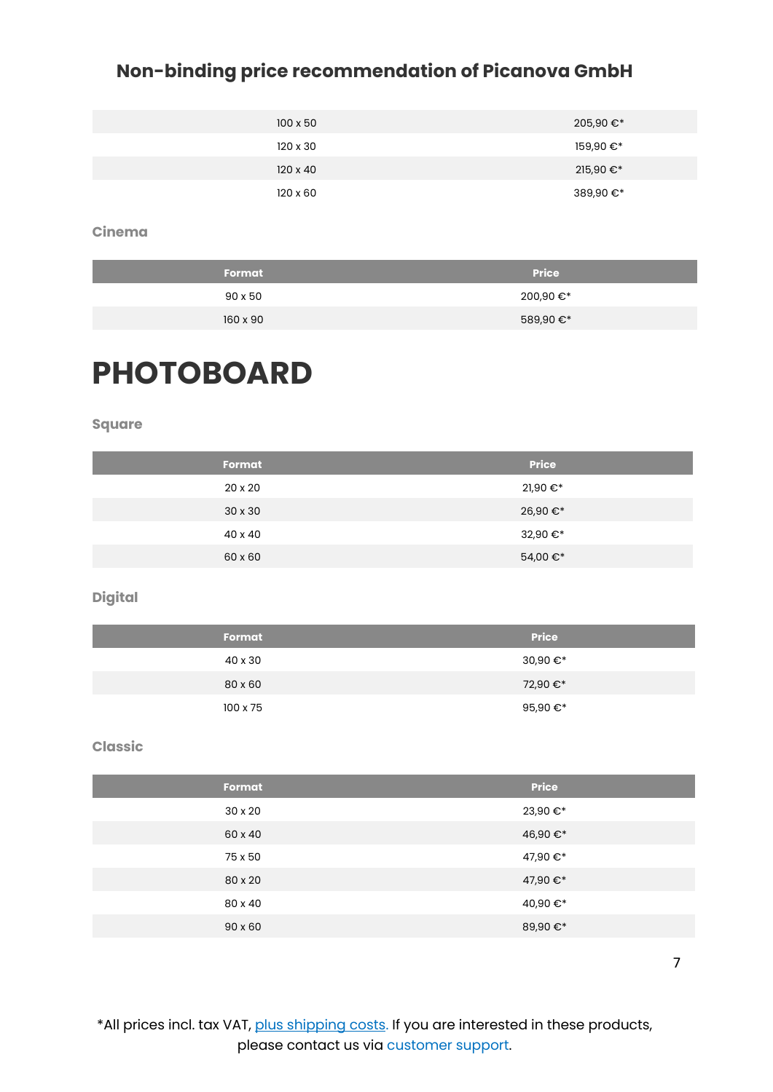| $100 \times 50$ | 205,90 €* |
|-----------------|-----------|
| $120 \times 30$ | 159,90€*  |
| $120 \times 40$ | 215,90 €* |
| $120 \times 60$ | 389,90 €* |

#### **Cinema**

| Format         | <b>Price</b> |
|----------------|--------------|
| $90 \times 50$ | 200,90 €*    |
| 160 x 90       | 589,90€*     |

# **PHOTOBOARD**

**Square**

| Format         | <b>Price</b> |
|----------------|--------------|
| $20 \times 20$ | 21,90 €*     |
| 30 x 30        | 26,90 €*     |
| 40 x 40        | 32,90 €*     |
| 60 x 60        | 54,00 €*     |

### **Digital**

| Format          | <b>Price</b> |
|-----------------|--------------|
| 40 x 30         | 30,90 €*     |
| 80 x 60         | 72,90 €*     |
| $100 \times 75$ | 95,90€*      |

## **Classic**

| <b>Format</b>  | <b>Price</b> |
|----------------|--------------|
| $30 \times 20$ | 23,90€*      |
| 60 x 40        | 46,90€*      |
| 75 x 50        | 47,90 €*     |
| 80 x 20        | 47,90 €*     |
| 80 x 40        | 40,90 €*     |
| $90 \times 60$ | 89,90€*      |
|                |              |

7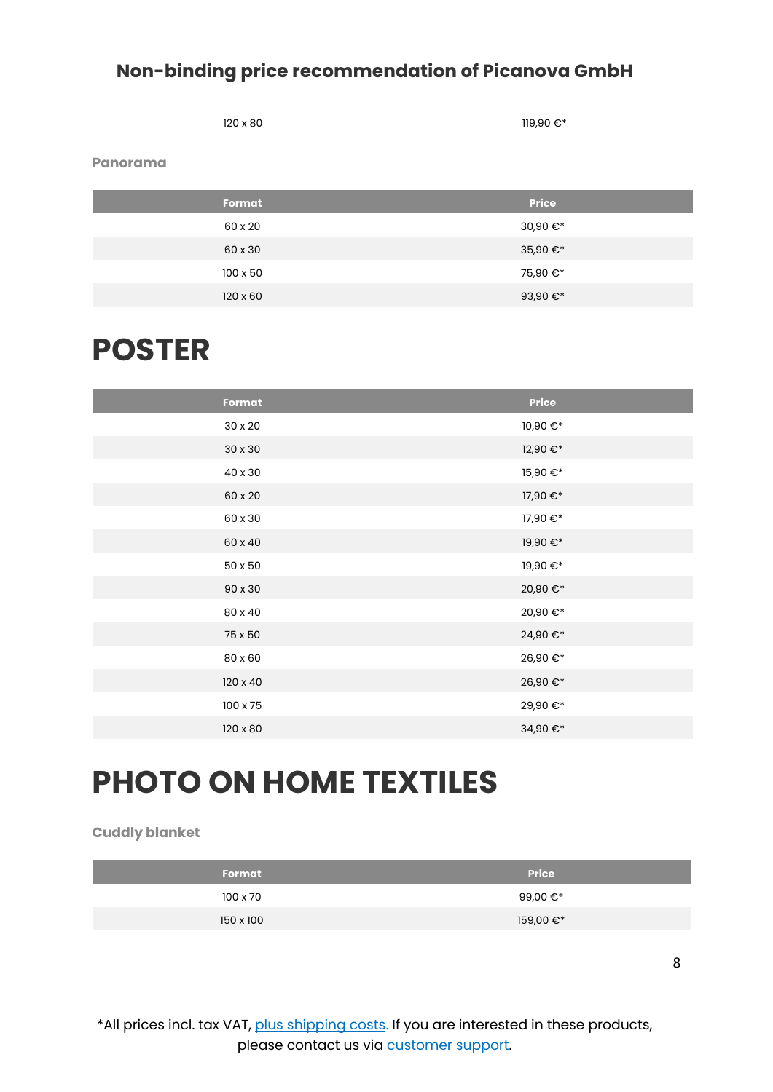120 x 80 119,90 €\*

#### **Panorama**

| Format          | <b>Price</b> |
|-----------------|--------------|
| 60 x 20         | 30,90 €*     |
| 60 x 30         | 35,90€*      |
| $100 \times 50$ | 75,90 €*     |
| $120 \times 60$ | 93,90€*      |

# **POSTER**

| Format   | <b>Price</b> |
|----------|--------------|
| 30 x 20  | 10,90€*      |
| 30 x 30  | 12,90 €*     |
| 40 x 30  | 15,90€*      |
| 60 x 20  | 17,90€*      |
| 60 x 30  | 17,90€*      |
| 60 x 40  | 19,90€*      |
| 50 x 50  | 19,90€*      |
| 90 x 30  | 20,90€*      |
| 80 x 40  | 20,90€*      |
| 75 x 50  | 24,90€*      |
| 80 x 60  | 26,90€*      |
| 120 x 40 | 26,90€*      |
| 100 x 75 | 29,90€*      |
| 120 x 80 | 34,90€*      |

# **PHOTO ON HOME TEXTILES**

**Cuddly blanket**

| Format          | <b>Price</b> |
|-----------------|--------------|
| $100 \times 70$ | 99,00 €*     |
| 150 x 100       | 159,00 €*    |

8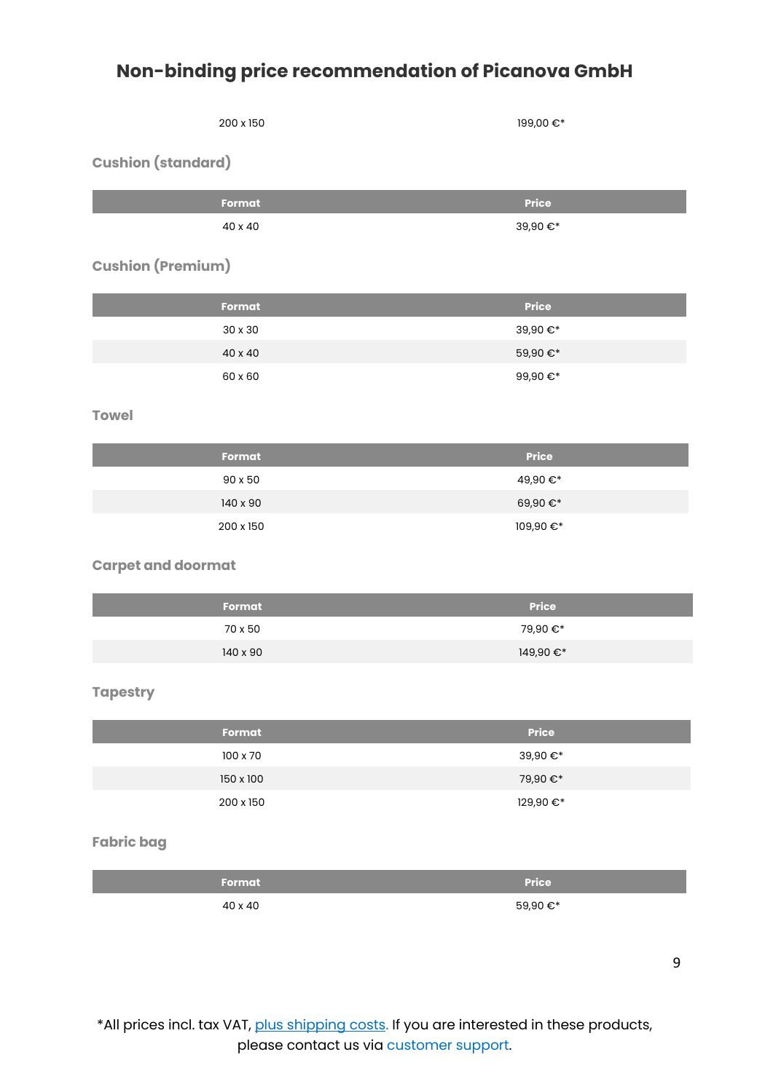|                           | 200 x 150     | 199,00€*     |  |
|---------------------------|---------------|--------------|--|
| <b>Cushion (standard)</b> |               |              |  |
|                           |               |              |  |
|                           | Format        | <b>Price</b> |  |
|                           | 40 x 40       | 39,90€*      |  |
| <b>Cushion (Premium)</b>  |               |              |  |
|                           | Format        | <b>Price</b> |  |
|                           | 30 x 30       | 39,90€*      |  |
|                           | 40 x 40       | 59,90€*      |  |
|                           | 60 x 60       | 99,90€*      |  |
| <b>Towel</b>              |               |              |  |
|                           | <b>Format</b> | <b>Price</b> |  |
|                           | 90 x 50       | 49,90€*      |  |
|                           | 140 x 90      | 69,90€*      |  |
|                           | 200 x 150     | 109,90€*     |  |
| <b>Carpet and doormat</b> |               |              |  |
|                           | Format        | <b>Price</b> |  |
|                           | 70 x 50       | 79,90€*      |  |
|                           | 140 x 90      | 149,90€*     |  |
| <b>Tapestry</b>           |               |              |  |
|                           | <b>Format</b> | <b>Price</b> |  |
|                           | 100 x 70      | 39,90€*      |  |
|                           | 150 x 100     | 79,90€*      |  |
|                           | 200 x 150     | 129,90€*     |  |
| <b>Fabric bag</b>         |               |              |  |
|                           |               |              |  |

| Format  | <b>Price</b> |
|---------|--------------|
| 40 x 40 | 59,90€*      |

9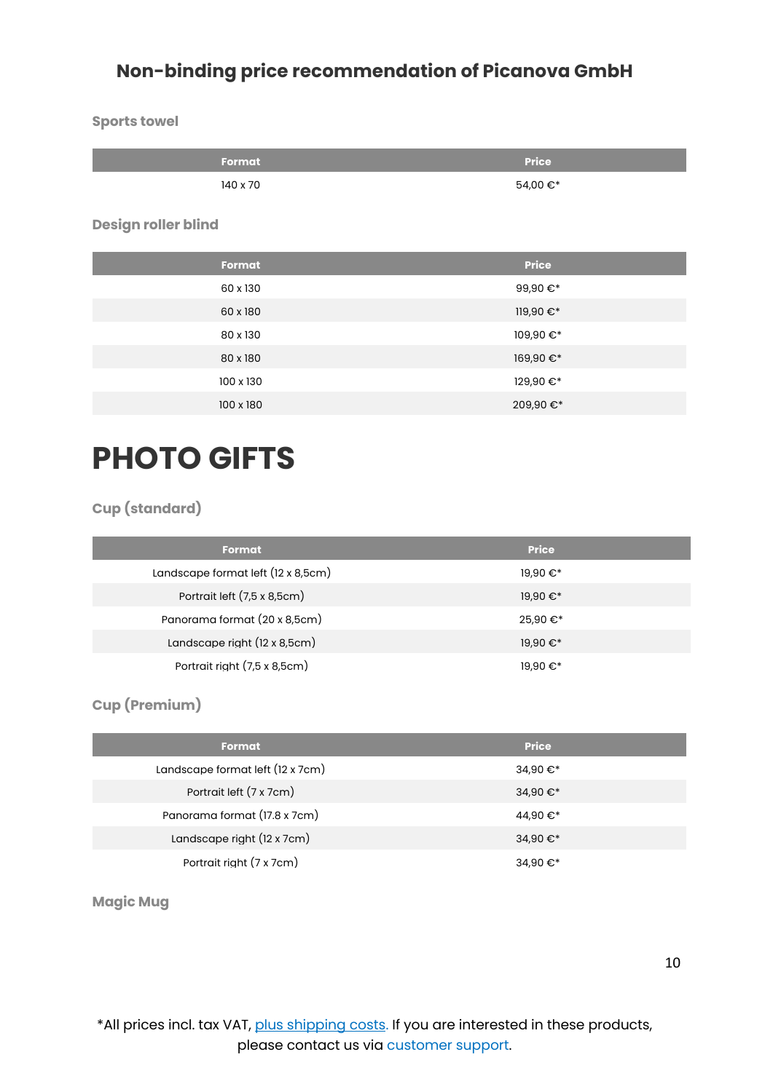**Sports towel**

| Format              | <b>Price</b> |
|---------------------|--------------|
| 140 x 70            | 54,00€*      |
| Design roller blind |              |
| Format              | <b>Price</b> |
| 60 x 130            | 99,90€*      |
| 60 x 180            | 119,90€*     |
| 80 x 130            | 109,90€*     |
| 80 x 180            | 169,90€*     |
| 100 x 130           | 129,90€*     |
| 100 x 180           | 209,90€*     |

# **PHOTO GIFTS**

## **Cup (standard)**

| Format                                     | <b>Price</b> |
|--------------------------------------------|--------------|
| Landscape format left (12 x 8,5cm)         | 19,90 €*     |
| Portrait left $(7.5 \times 8.5 \text{cm})$ | 19,90€*      |
| Panorama format (20 x 8,5cm)               | 25,90€*      |
| Landscape right (12 x 8,5cm)               | 19,90€*      |
| Portrait right (7,5 x 8,5cm)               | 19,90€*      |

## **Cup (Premium)**

| Format                           | <b>Price</b> |
|----------------------------------|--------------|
| Landscape format left (12 x 7cm) | 34,90 €*     |
| Portrait left (7 x 7cm)          | 34,90€*      |
| Panorama format (17.8 x 7cm)     | 44,90€*      |
| Landscape right (12 x 7cm)       | 34,90€*      |
| Portrait right (7 x 7cm)         | 34,90 €*     |

## **Magic Mug**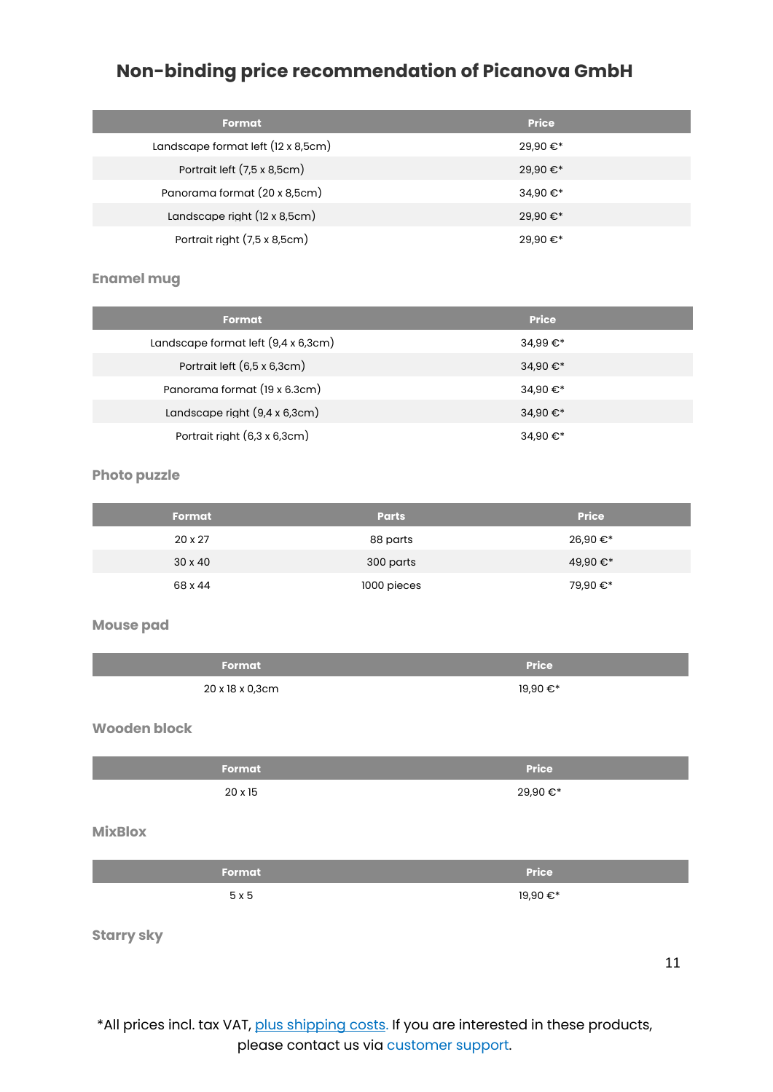| <b>Format</b>                              | <b>Price</b> |
|--------------------------------------------|--------------|
| Landscape format left (12 x 8,5cm)         | 29,90€*      |
| Portrait left $(7.5 \times 8.5 \text{cm})$ | 29,90€*      |
| Panorama format (20 x 8,5cm)               | 34,90 €*     |
| Landscape right (12 x 8,5cm)               | 29,90€*      |
| Portrait right (7,5 x 8,5cm)               | 29,90€*      |

## **Enamel mug**

| <b>Format</b>                                      | <b>Price</b> |
|----------------------------------------------------|--------------|
| Landscape format left $(9,4 \times 6,3 \text{cm})$ | 34,99€*      |
| Portrait left $(6,5 \times 6,3 \text{cm})$         | 34,90€*      |
| Panorama format (19 x 6.3cm)                       | 34,90€*      |
| Landscape right $(9,4 \times 6,3 \text{cm})$       | 34,90 €*     |
| Portrait right $(6,3 \times 6,3 \text{cm})$        | 34,90€*      |

#### **Photo puzzle**

| Format         | <b>Parts</b> | <b>Price</b> |
|----------------|--------------|--------------|
| 20 x 27        | 88 parts     | 26,90€*      |
| $30 \times 40$ | 300 parts    | 49,90€*      |
| 68 x 44        | 1000 pieces  | 79,90 €*     |

#### **Mouse pad**

| Format          | <b>Price</b> |
|-----------------|--------------|
| 20 x 18 x 0,3cm | 19,90 €*     |

### **Wooden block**

| Format  | <b>Price</b> |
|---------|--------------|
| 20 x 15 | 29,90 €*     |

### **MixBlox**

| Format | Price   |
|--------|---------|
| 5x5    | 19,90€* |

**Starry sky**

11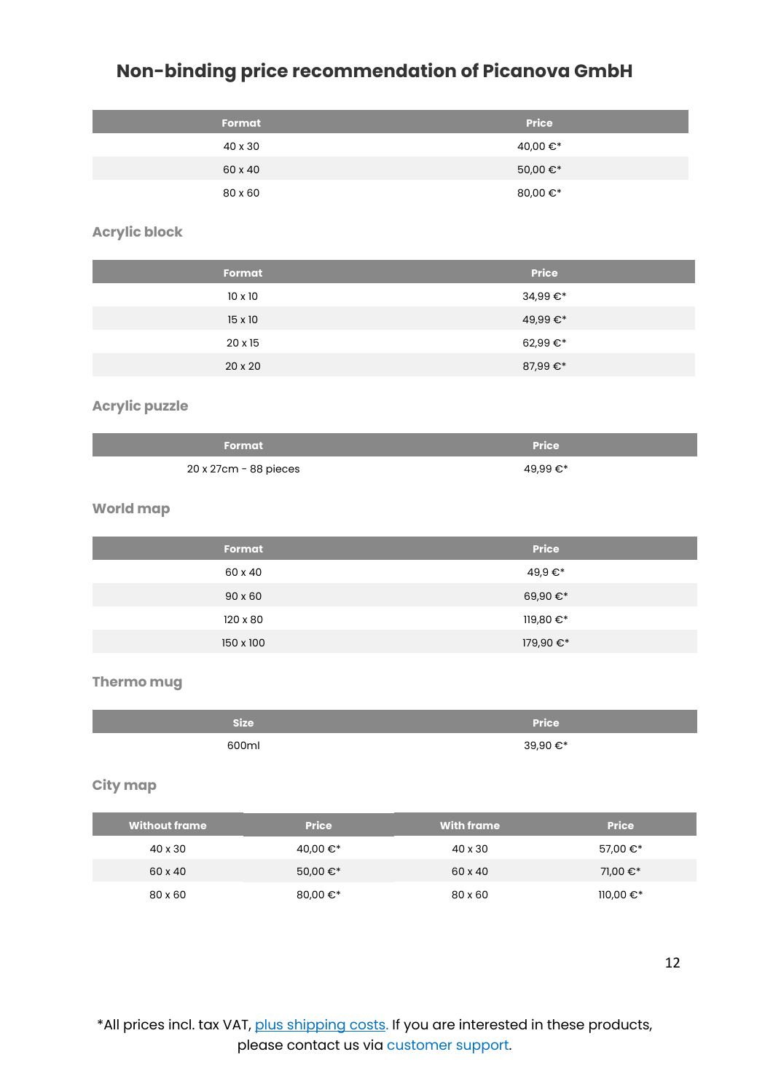| Format  | <b>Price</b> |
|---------|--------------|
| 40 x 30 | 40,00 €*     |
| 60 x 40 | 50,00 €*     |
| 80 x 60 | 80,00 €*     |

### **Acrylic block**

| <b>Format</b>  | <b>Price</b> |
|----------------|--------------|
| $10 \times 10$ | 34,99€*      |
| 15 x 10        | 49,99€*      |
| $20 \times 15$ | 62,99€*      |
| $20 \times 20$ | 87,99€*      |

### **Acrylic puzzle**

| Format                | <b>Price</b> |
|-----------------------|--------------|
| 20 x 27cm - 88 pieces | 49,99€*      |

## **World map**

| Format         | <b>Price</b> |
|----------------|--------------|
| 60 x 40        | 49,9 €*      |
| $90 \times 60$ | 69,90 €*     |
| 120 x 80       | 119,80 €*    |
| 150 x 100      | 179,90€*     |

#### **Thermo mug**

| Size  | <b>Price</b> |
|-------|--------------|
| 600ml | 39,90€*      |

### **City map**

| <b>Without frame</b> | <b>Price</b> | With frame | <b>Price</b> |
|----------------------|--------------|------------|--------------|
| 40 x 30              | 40,00 €*     | 40 x 30    | 57.00 €*     |
| 60 x 40              | 50,00 €*     | 60 x 40    | 71.00 €*     |
| 80 x 60              | 80,00 €*     | 80 x 60    | 110,00 €*    |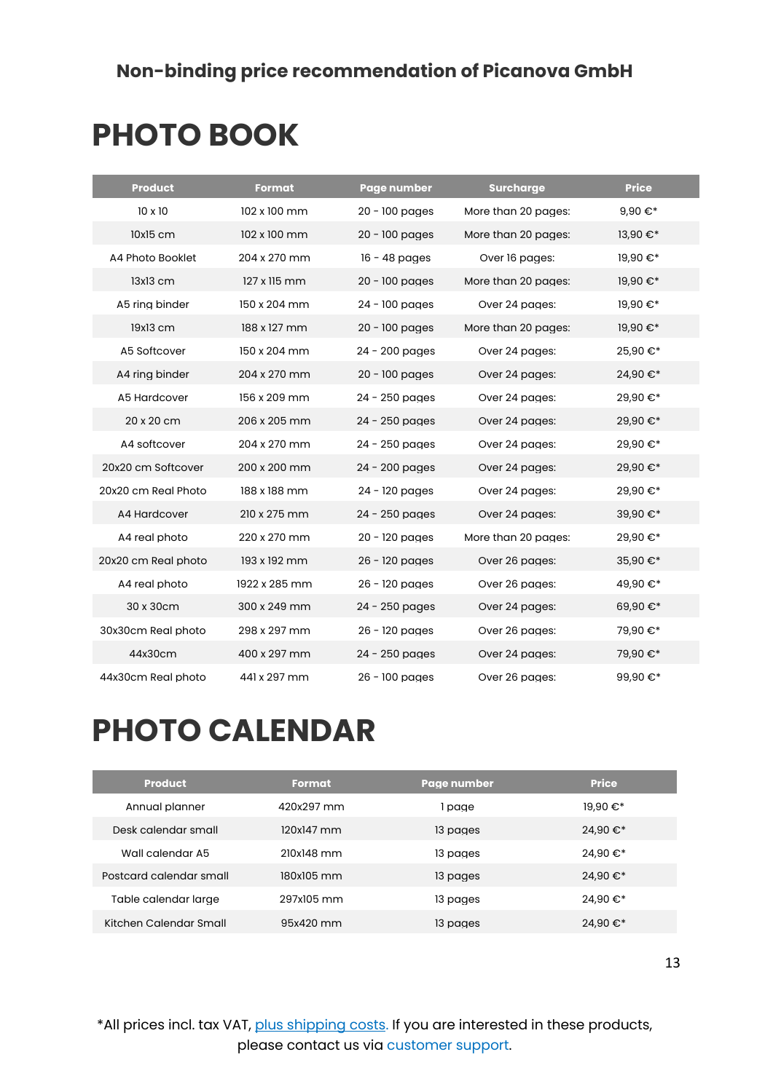# **PHOTO BOOK**

| <b>Product</b>      | <b>Format</b> | Page number      | <b>Surcharge</b>    | <b>Price</b> |
|---------------------|---------------|------------------|---------------------|--------------|
| $10 \times 10$      | 102 x 100 mm  | $20 - 100$ pages | More than 20 pages: | 9,90€*       |
| 10x15 cm            | 102 x 100 mm  | $20 - 100$ pages | More than 20 pages: | 13,90€*      |
| A4 Photo Booklet    | 204 x 270 mm  | $16 - 48$ pages  | Over 16 pages:      | 19,90€*      |
| $13x13$ cm          | 127 x 115 mm  | $20 - 100$ pages | More than 20 pages: | 19,90€*      |
| A5 ring binder      | 150 x 204 mm  | $24 - 100$ pages | Over 24 pages:      | 19,90€*      |
| 19x13 cm            | 188 x 127 mm  | $20 - 100$ pages | More than 20 pages: | 19,90€*      |
| A5 Softcover        | 150 x 204 mm  | $24 - 200$ pages | Over 24 pages:      | 25,90€*      |
| A4 ring binder      | 204 x 270 mm  | $20 - 100$ pages | Over 24 pages:      | 24,90€*      |
| A5 Hardcover        | 156 x 209 mm  | 24 - 250 pages   | Over 24 pages:      | 29,90€*      |
| 20 x 20 cm          | 206 x 205 mm  | $24 - 250$ pages | Over 24 pages:      | 29,90€*      |
| A4 softcover        | 204 x 270 mm  | $24 - 250$ pages | Over 24 pages:      | 29,90€*      |
| 20x20 cm Softcover  | 200 x 200 mm  | $24 - 200$ pages | Over 24 pages:      | 29,90€*      |
| 20x20 cm Real Photo | 188 x 188 mm  | 24 - 120 pages   | Over 24 pages:      | 29,90€*      |
| A4 Hardcover        | 210 x 275 mm  | $24 - 250$ pages | Over 24 pages:      | 39,90€*      |
| A4 real photo       | 220 x 270 mm  | $20 - 120$ pages | More than 20 pages: | 29,90€*      |
| 20x20 cm Real photo | 193 x 192 mm  | $26 - 120$ pages | Over 26 pages:      | 35,90€*      |
| A4 real photo       | 1922 x 285 mm | 26 - 120 pages   | Over 26 pages:      | 49,90 €*     |
| 30 x 30cm           | 300 x 249 mm  | 24 - 250 pages   | Over 24 pages:      | 69,90€*      |
| 30x30cm Real photo  | 298 x 297 mm  | 26 - 120 pages   | Over 26 pages:      | 79,90€*      |
| 44x30cm             | 400 x 297 mm  | $24 - 250$ pages | Over 24 pages:      | 79,90€*      |
| 44x30cm Real photo  | 441 x 297 mm  | $26 - 100$ pages | Over 26 pages:      | 99,90€*      |

# **PHOTO CALENDAR**

| <b>Product</b>          | <b>Format</b> | Page number | <b>Price</b> |
|-------------------------|---------------|-------------|--------------|
| Annual planner          | 420x297 mm    | page        | 19,90 €*     |
| Desk calendar small     | $120x147$ mm  | 13 pages    | 24,90 €*     |
| Wall calendar A5        | 210x148 mm    | 13 pages    | 24,90 €*     |
| Postcard calendar small | 180x105 mm    | 13 pages    | 24,90€*      |
| Table calendar large    | 297x105 mm    | 13 pages    | 24,90 €*     |
| Kitchen Calendar Small  | $95x420$ mm   | 13 pages    | 24,90€*      |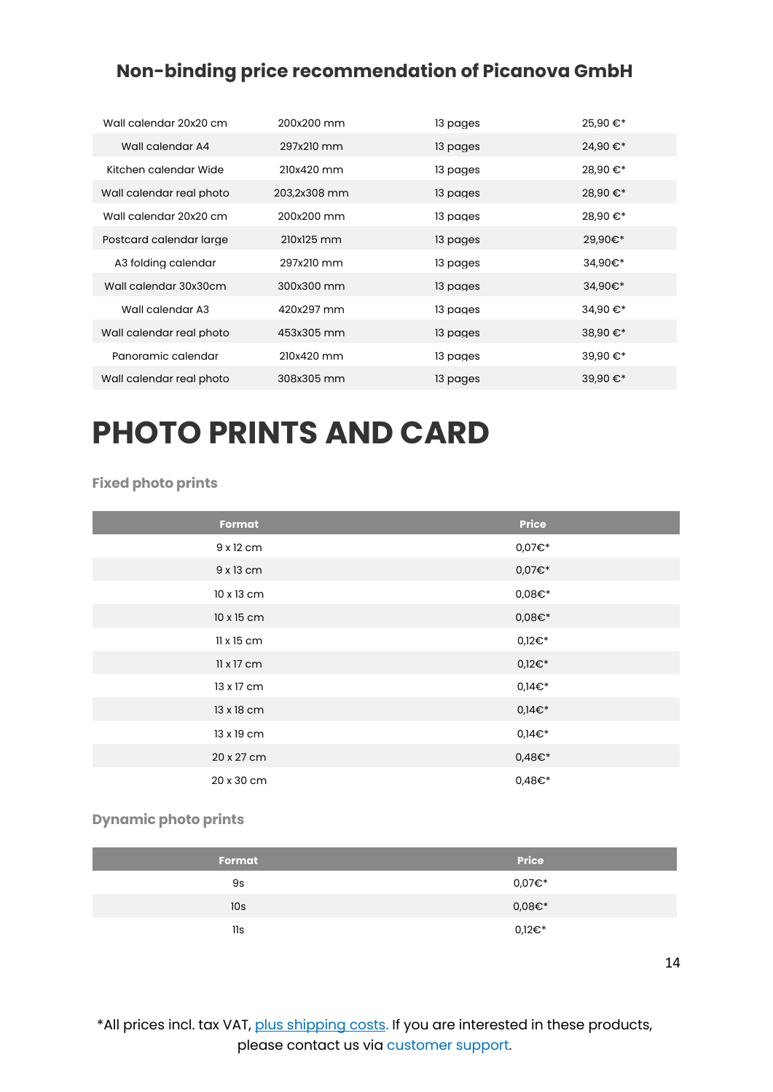| Wall calendar 20x20 cm   | 200x200 mm   | 13 pages | 25,90 €* |
|--------------------------|--------------|----------|----------|
| Wall calendar A4         | 297x210 mm   | 13 pages | 24,90€*  |
| Kitchen calendar Wide    | 210x420 mm   | 13 pages | 28,90€*  |
| Wall calendar real photo | 203,2x308 mm | 13 pages | 28,90 €* |
| Wall calendar 20x20 cm   | 200x200 mm   | 13 pages | 28,90€*  |
| Postcard calendar large  | $210x125$ mm | 13 pages | 29,90€*  |
| A3 folding calendar      | 297x210 mm   | 13 pages | 34,90€*  |
| Wall calendar 30x30cm    | 300x300 mm   | 13 pages | 34,90€*  |
| Wall calendar A3         | 420x297 mm   | 13 pages | 34,90 €* |
| Wall calendar real photo | 453x305 mm   | 13 pages | 38,90€*  |
| Panoramic calendar       | 210x420 mm   | 13 pages | 39,90€*  |
| Wall calendar real photo | 308x305 mm   | 13 pages | 39,90€*  |

# **PHOTO PRINTS AND CARD**

### **Fixed photo prints**

| Format            | <b>Price</b>             |
|-------------------|--------------------------|
| 9x12cm            | $0,07 \infty$ *          |
| $9x13$ cm         | $0,07 \in \mathcal{E}^*$ |
| 10 x 13 cm        | 0,08€*                   |
| 10 x 15 cm        | $0,08 \in \mathbb{R}^*$  |
| $11 \times 15$ cm | 0,12€*                   |
| 11 x 17 cm        | $0,12 \in \mathbb{C}^*$  |
| 13 x 17 cm        | 0,14€*                   |
| 13 x 18 cm        | $0,14 \in ^*$            |
| 13 x 19 cm        | 0,14€*                   |
| 20 x 27 cm        | $0,48 \in \mathbb{*}$    |
| 20 x 30 cm        | 0,48€*                   |

## **Dynamic photo prints**

| Format          | <b>Price</b> |
|-----------------|--------------|
| 9s              | 0,07€*       |
| 10 <sub>s</sub> | 0,08€*       |
| 11s             | 0,12€*       |

14